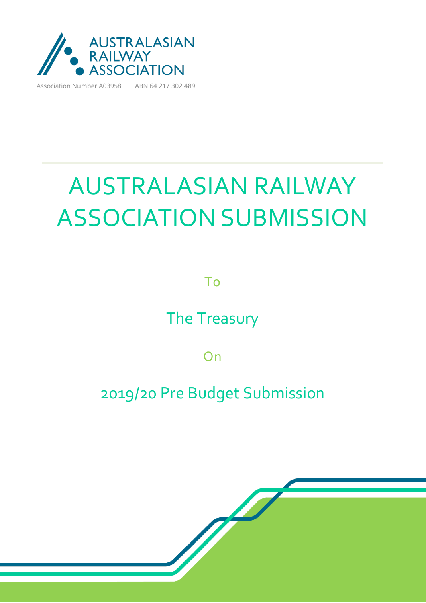

Association Number A03958 | ABN 64 217 302 489

# AUSTRALASIAN RAILWAY ASSOCIATION SUBMISSION

To

The Treasury

On

### 2019/20 Pre Budget Submission

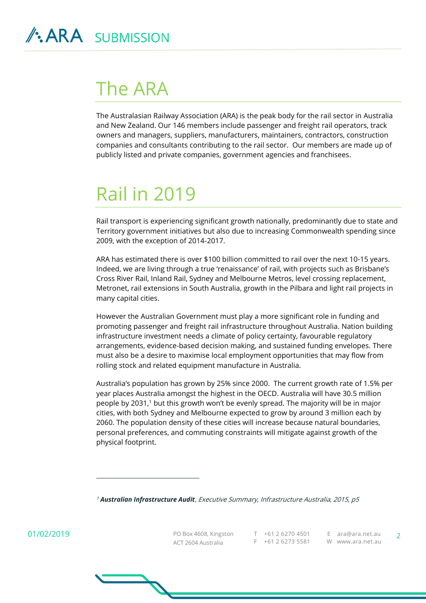### The ARA

The Australasian Railway Association (ARA) is the peak body for the rail sector in Australia and New Zealand. Our 146 members include passenger and freight rail operators, track owners and managers, suppliers, manufacturers, maintainers, contractors, construction companies and consultants contributing to the rail sector. Our members are made up of publicly listed and private companies, government agencies and franchisees.

## Rail in 2019

Rail transport is experiencing significant growth nationally, predominantly due to state and Territory government initiatives but also due to increasing Commonwealth spending since 2009, with the exception of 2014-2017.

ARA has estimated there is over \$100 billion committed to rail over the next 10-15 years. Indeed, we are living through a true 'renaissance' of rail, with projects such as Brisbane's Cross River Rail, Inland Rail, Sydney and Melbourne Metros, level crossing replacement, Metronet, rail extensions in South Australia, growth in the Pilbara and light rail projects in many capital cities.

However the Australian Government must play a more significant role in funding and promoting passenger and freight rail infrastructure throughout Australia. Nation building infrastructure investment needs a climate of policy certainty, favourable regulatory arrangements, evidence-based decision making, and sustained funding envelopes. There must also be a desire to maximise local employment opportunities that may flow from rolling stock and related equipment manufacture in Australia.

Australia's population has grown by 25% since 2000. The current growth rate of 1.5% per year places Australia amongst the highest in the OECD. Australia will have 30.5 million people by 2031,<sup>1</sup> but this growth won't be evenly spread. The majority will be in major cities, with both Sydney and Melbourne expected to grow by around 3 million each by 2060. The population density of these cities will increase because natural boundaries, personal preferences, and commuting constraints will mitigate against growth of the physical footprint.

<sup>1</sup> *Australian Infrastructure Audit*, Executive Summary, Infrastructure Australia, 2015, p5

01/02/2019

 $\overline{a}$ 

PO Box 4608, Kingston ACT 2604 Australia T +61 2 6270 4501 F +61 2 6273 5581 W www.ara.net.au E ara@ara.net.au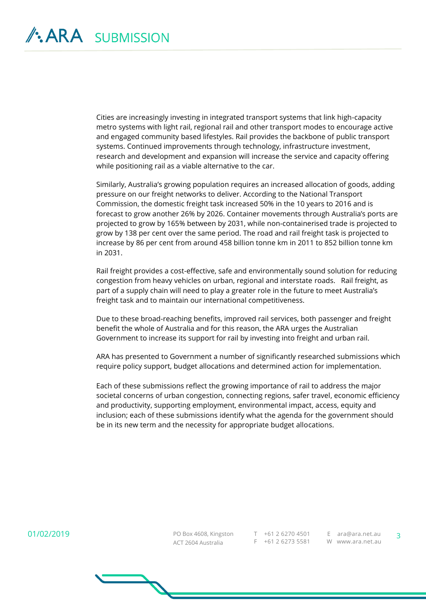Cities are increasingly investing in integrated transport systems that link high-capacity metro systems with light rail, regional rail and other transport modes to encourage active and engaged community based lifestyles. Rail provides the backbone of public transport systems. Continued improvements through technology, infrastructure investment, research and development and expansion will increase the service and capacity offering while positioning rail as a viable alternative to the car.

Similarly, Australia's growing population requires an increased allocation of goods, adding pressure on our freight networks to deliver. According to the National Transport Commission, the domestic freight task increased 50% in the 10 years to 2016 and is forecast to grow another 26% by 2026. Container movements through Australia's ports are projected to grow by 165% between by 2031, while non-containerised trade is projected to grow by 138 per cent over the same period. The road and rail freight task is projected to increase by 86 per cent from around 458 billion tonne km in 2011 to 852 billion tonne km in 2031.

Rail freight provides a cost-effective, safe and environmentally sound solution for reducing congestion from heavy vehicles on urban, regional and interstate roads. Rail freight, as part of a supply chain will need to play a greater role in the future to meet Australia's freight task and to maintain our international competitiveness.

Due to these broad-reaching benefits, improved rail services, both passenger and freight benefit the whole of Australia and for this reason, the ARA urges the Australian Government to increase its support for rail by investing into freight and urban rail.

ARA has presented to Government a number of significantly researched submissions which require policy support, budget allocations and determined action for implementation.

Each of these submissions reflect the growing importance of rail to address the major societal concerns of urban congestion, connecting regions, safer travel, economic efficiency and productivity, supporting employment, environmental impact, access, equity and inclusion; each of these submissions identify what the agenda for the government should be in its new term and the necessity for appropriate budget allocations.

01/02/2019

PO Box 4608, Kingston ACT 2604 Australia T +61 2 6270 4501 E ara@ara.net.au F +61 2 6273 5581 W www.ara.net.au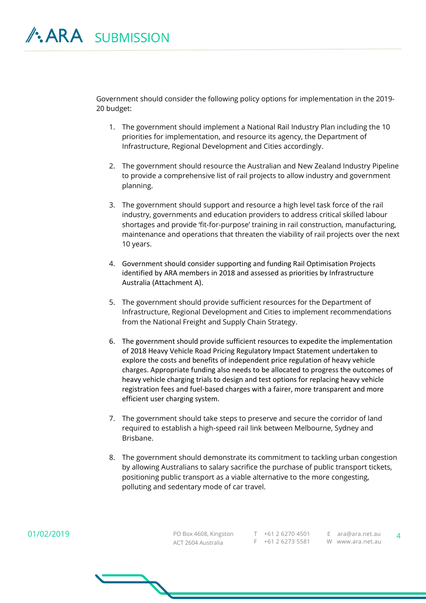Government should consider the following policy options for implementation in the 2019- 20 budget:

- 1. The government should implement a National Rail Industry Plan including the 10 priorities for implementation, and resource its agency, the Department of Infrastructure, Regional Development and Cities accordingly.
- 2. The government should resource the Australian and New Zealand Industry Pipeline to provide a comprehensive list of rail projects to allow industry and government planning.
- 3. The government should support and resource a high level task force of the rail industry, governments and education providers to address critical skilled labour shortages and provide 'fit-for-purpose' training in rail construction, manufacturing, maintenance and operations that threaten the viability of rail projects over the next 10 years.
- 4. Government should consider supporting and funding Rail Optimisation Projects identified by ARA members in 2018 and assessed as priorities by Infrastructure Australia (Attachment A).
- 5. The government should provide sufficient resources for the Department of Infrastructure, Regional Development and Cities to implement recommendations from the National Freight and Supply Chain Strategy.
- 6. The government should provide sufficient resources to expedite the implementation of 2018 Heavy Vehicle Road Pricing Regulatory Impact Statement undertaken to explore the costs and benefits of independent price regulation of heavy vehicle charges. Appropriate funding also needs to be allocated to progress the outcomes of heavy vehicle charging trials to design and test options for replacing heavy vehicle registration fees and fuel-based charges with a fairer, more transparent and more efficient user charging system.
- 7. The government should take steps to preserve and secure the corridor of land required to establish a high-speed rail link between Melbourne, Sydney and Brisbane.
- 8. The government should demonstrate its commitment to tackling urban congestion by allowing Australians to salary sacrifice the purchase of public transport tickets, positioning public transport as a viable alternative to the more congesting, polluting and sedentary mode of car travel.

PO Box 4608, Kingston ACT 2604 Australia T +61 2 6270 4501 E ara@ara.net.au F +61 2 6273 5581 W www.ara.net.au

 $\Delta$ 

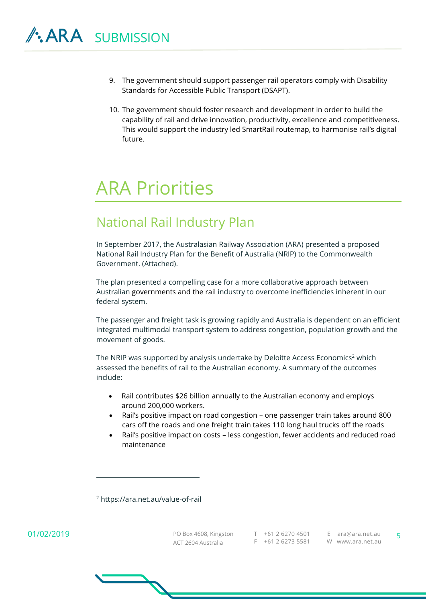- 9. The government should support passenger rail operators comply with Disability Standards for Accessible Public Transport (DSAPT).
- 10. The government should foster research and development in order to build the capability of rail and drive innovation, productivity, excellence and competitiveness. This would support the industry led SmartRail routemap, to harmonise rail's digital future.

### ARA Priorities

#### National Rail Industry Plan

In September 2017, the Australasian Railway Association (ARA) presented a proposed National Rail Industry Plan for the Benefit of Australia (NRIP) to the Commonwealth Government. (Attached).

The plan presented a compelling case for a more collaborative approach between Australian governments and the rail industry to overcome inefficiencies inherent in our federal system.

The passenger and freight task is growing rapidly and Australia is dependent on an efficient integrated multimodal transport system to address congestion, population growth and the movement of goods.

The NRIP was supported by analysis undertake by Deloitte Access Economics<sup>2</sup> which assessed the benefits of rail to the Australian economy. A summary of the outcomes include:

- Rail contributes \$26 billion annually to the Australian economy and employs around 200,000 workers.
- Rail's positive impact on road congestion one passenger train takes around 800 cars off the roads and one freight train takes 110 long haul trucks off the roads
- Rail's positive impact on costs less congestion, fewer accidents and reduced road maintenance

<sup>2</sup> https://ara.net.au/value-of-rail

 $\overline{a}$ 

PO Box 4608, Kingston ACT 2604 Australia T +61 2 6270 4501 E ara@ara.net.au F +61 2 6273 5581 W www.ara.net.au

5

01/02/2019

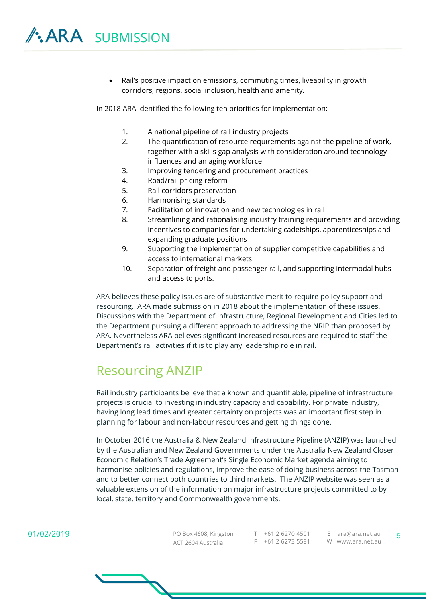Rail's positive impact on emissions, commuting times, liveability in growth corridors, regions, social inclusion, health and amenity.

In 2018 ARA identified the following ten priorities for implementation:

- 1. A national pipeline of rail industry projects
- 2. The quantification of resource requirements against the pipeline of work, together with a skills gap analysis with consideration around technology influences and an aging workforce
- 3. Improving tendering and procurement practices
- 4. Road/rail pricing reform
- 5. Rail corridors preservation
- 6. Harmonising standards
- 7. Facilitation of innovation and new technologies in rail
- 8. Streamlining and rationalising industry training requirements and providing incentives to companies for undertaking cadetships, apprenticeships and expanding graduate positions
- 9. Supporting the implementation of supplier competitive capabilities and access to international markets
- 10. Separation of freight and passenger rail, and supporting intermodal hubs and access to ports.

ARA believes these policy issues are of substantive merit to require policy support and resourcing. ARA made submission in 2018 about the implementation of these issues. Discussions with the Department of Infrastructure, Regional Development and Cities led to the Department pursuing a different approach to addressing the NRIP than proposed by ARA. Nevertheless ARA believes significant increased resources are required to staff the Department's rail activities if it is to play any leadership role in rail.

#### Resourcing ANZIP

Rail industry participants believe that a known and quantifiable, pipeline of infrastructure projects is crucial to investing in industry capacity and capability. For private industry, having long lead times and greater certainty on projects was an important first step in planning for labour and non-labour resources and getting things done.

In October 2016 the Australia & New Zealand Infrastructure Pipeline (ANZIP) was launched by the Australian and New Zealand Governments under the Australia New Zealand Closer Economic Relation's Trade Agreement's Single Economic Market agenda aiming to harmonise policies and regulations, improve the ease of doing business across the Tasman and to better connect both countries to third markets. The ANZIP website was seen as a valuable extension of the information on major infrastructure projects committed to by local, state, territory and Commonwealth governments.

#### 01/02/2019

PO Box 4608, Kingston ACT 2604 Australia T +61 2 6270 4501 E ara@ara.net.au F +61 2 6273 5581 W www.ara.net.au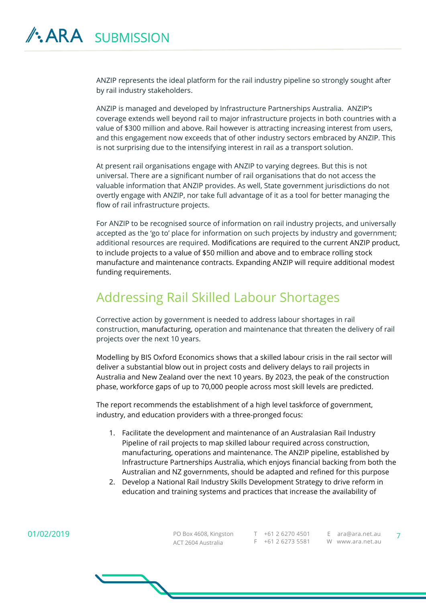ANZIP represents the ideal platform for the rail industry pipeline so strongly sought after by rail industry stakeholders.

ANZIP is managed and developed by Infrastructure Partnerships Australia. ANZIP's coverage extends well beyond rail to major infrastructure projects in both countries with a value of \$300 million and above. Rail however is attracting increasing interest from users, and this engagement now exceeds that of other industry sectors embraced by ANZIP. This is not surprising due to the intensifying interest in rail as a transport solution.

At present rail organisations engage with ANZIP to varying degrees. But this is not universal. There are a significant number of rail organisations that do not access the valuable information that ANZIP provides. As well, State government jurisdictions do not overtly engage with ANZIP, nor take full advantage of it as a tool for better managing the flow of rail infrastructure projects.

For ANZIP to be recognised source of information on rail industry projects, and universally accepted as the 'go to' place for information on such projects by industry and government; additional resources are required. Modifications are required to the current ANZIP product, to include projects to a value of \$50 million and above and to embrace rolling stock manufacture and maintenance contracts. Expanding ANZIP will require additional modest funding requirements.

#### Addressing Rail Skilled Labour Shortages

Corrective action by government is needed to address labour shortages in rail construction, manufacturing, operation and maintenance that threaten the delivery of rail projects over the next 10 years.

Modelling by BIS Oxford Economics shows that a skilled labour crisis in the rail sector will deliver a substantial blow out in project costs and delivery delays to rail projects in Australia and New Zealand over the next 10 years. By 2023, the peak of the construction phase, workforce gaps of up to 70,000 people across most skill levels are predicted.

The report recommends the establishment of a high level taskforce of government, industry, and education providers with a three-pronged focus:

- 1. Facilitate the development and maintenance of an Australasian Rail Industry Pipeline of rail projects to map skilled labour required across construction, manufacturing, operations and maintenance. The ANZIP pipeline, established by Infrastructure Partnerships Australia, which enjoys financial backing from both the Australian and NZ governments, should be adapted and refined for this purpose
- 2. Develop a National Rail Industry Skills Development Strategy to drive reform in education and training systems and practices that increase the availability of

PO Box 4608, Kingston ACT 2604 Australia T +61 2 6270 4501 E ara@ara.net.au F +61 2 6273 5581 W www.ara.net.au

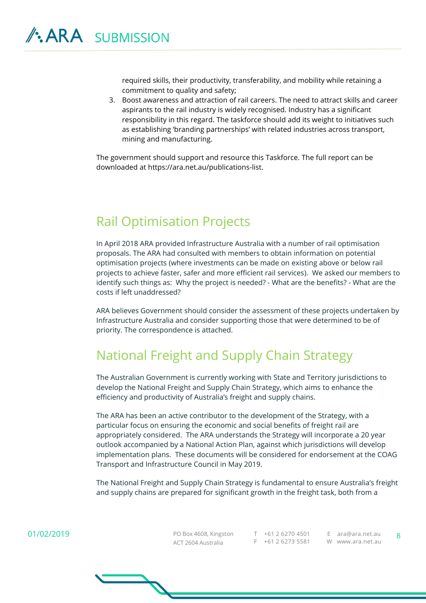required skills, their productivity, transferability, and mobility while retaining a commitment to quality and safety;

3. Boost awareness and attraction of rail careers. The need to attract skills and career aspirants to the rail industry is widely recognised. Industry has a significant responsibility in this regard. The taskforce should add its weight to initiatives such as establishing 'branding partnerships' with related industries across transport, mining and manufacturing.

The government should support and resource this Taskforce. The full report can be downloaded at https://ara.net.au/publications-list.

#### Rail Optimisation Projects

In April 2018 ARA provided Infrastructure Australia with a number of rail optimisation proposals. The ARA had consulted with members to obtain information on potential optimisation projects (where investments can be made on existing above or below rail projects to achieve faster, safer and more efficient rail services). We asked our members to identify such things as: Why the project is needed? - What are the benefits? - What are the costs if left unaddressed?

ARA believes Government should consider the assessment of these projects undertaken by Infrastructure Australia and consider supporting those that were determined to be of priority. The correspondence is attached.

#### National Freight and Supply Chain Strategy

The Australian Government is currently working with State and Territory jurisdictions to develop the National Freight and Supply Chain Strategy, which aims to enhance the efficiency and productivity of Australia's freight and supply chains.

The ARA has been an active contributor to the development of the Strategy, with a particular focus on ensuring the economic and social benefits of freight rail are appropriately considered. The ARA understands the Strategy will incorporate a 20 year outlook accompanied by a National Action Plan, against which jurisdictions will develop implementation plans. These documents will be considered for endorsement at the COAG Transport and Infrastructure Council in May 2019.

The National Freight and Supply Chain Strategy is fundamental to ensure Australia's freight and supply chains are prepared for significant growth in the freight task, both from a

01/02/2019

PO Box 4608, Kingston ACT 2604 Australia T +61 2 6270 4501 E ara@ara.net.au F +61 2 6273 5581 W www.ara.net.au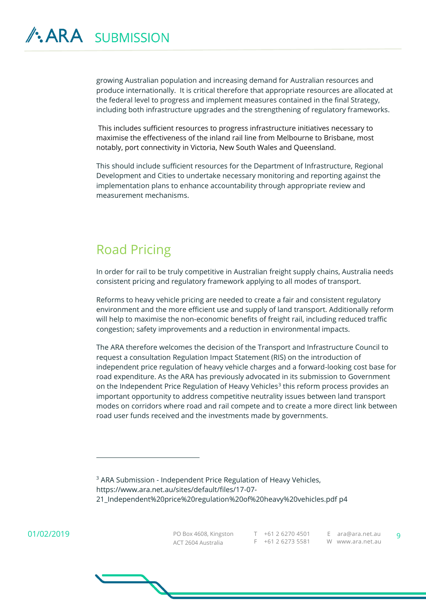growing Australian population and increasing demand for Australian resources and produce internationally. It is critical therefore that appropriate resources are allocated at the federal level to progress and implement measures contained in the final Strategy, including both infrastructure upgrades and the strengthening of regulatory frameworks.

This includes sufficient resources to progress infrastructure initiatives necessary to maximise the effectiveness of the inland rail line from Melbourne to Brisbane, most notably, port connectivity in Victoria, New South Wales and Queensland.

This should include sufficient resources for the Department of Infrastructure, Regional Development and Cities to undertake necessary monitoring and reporting against the implementation plans to enhance accountability through appropriate review and measurement mechanisms.

#### Road Pricing

In order for rail to be truly competitive in Australian freight supply chains, Australia needs consistent pricing and regulatory framework applying to all modes of transport.

Reforms to heavy vehicle pricing are needed to create a fair and consistent regulatory environment and the more efficient use and supply of land transport. Additionally reform will help to maximise the non-economic benefits of freight rail, including reduced traffic congestion; safety improvements and a reduction in environmental impacts.

The ARA therefore welcomes the decision of the Transport and Infrastructure Council to request a consultation Regulation Impact Statement (RIS) on the introduction of independent price regulation of heavy vehicle charges and a forward-looking cost base for road expenditure. As the ARA has previously advocated in its submission to Government on the Independent Price Regulation of Heavy Vehicles<sup>3</sup> this reform process provides an important opportunity to address competitive neutrality issues between land transport modes on corridors where road and rail compete and to create a more direct link between road user funds received and the investments made by governments.

<sup>3</sup> ARA Submission - Independent Price Regulation of Heavy Vehicles, https://www.ara.net.au/sites/default/files/17-07- 21\_Independent%20price%20regulation%20of%20heavy%20vehicles.pdf p4

01/02/2019

 $\overline{a}$ 

PO Box 4608, Kingston ACT 2604 Australia T +61 2 6270 4501

F +61 2 6273 5581 W www.ara.net.au

E ara@ara.net.au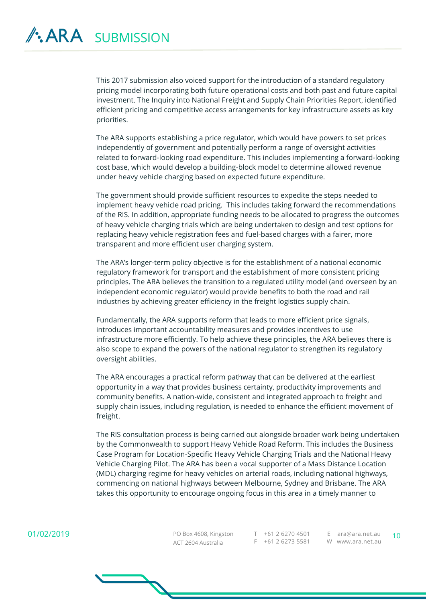This 2017 submission also voiced support for the introduction of a standard regulatory pricing model incorporating both future operational costs and both past and future capital investment. The Inquiry into National Freight and Supply Chain Priorities Report, identified efficient pricing and competitive access arrangements for key infrastructure assets as key priorities.

The ARA supports establishing a price regulator, which would have powers to set prices independently of government and potentially perform a range of oversight activities related to forward-looking road expenditure. This includes implementing a forward-looking cost base, which would develop a building-block model to determine allowed revenue under heavy vehicle charging based on expected future expenditure.

The government should provide sufficient resources to expedite the steps needed to implement heavy vehicle road pricing. This includes taking forward the recommendations of the RIS. In addition, appropriate funding needs to be allocated to progress the outcomes of heavy vehicle charging trials which are being undertaken to design and test options for replacing heavy vehicle registration fees and fuel-based charges with a fairer, more transparent and more efficient user charging system.

The ARA's longer-term policy objective is for the establishment of a national economic regulatory framework for transport and the establishment of more consistent pricing principles. The ARA believes the transition to a regulated utility model (and overseen by an independent economic regulator) would provide benefits to both the road and rail industries by achieving greater efficiency in the freight logistics supply chain.

Fundamentally, the ARA supports reform that leads to more efficient price signals, introduces important accountability measures and provides incentives to use infrastructure more efficiently. To help achieve these principles, the ARA believes there is also scope to expand the powers of the national regulator to strengthen its regulatory oversight abilities.

The ARA encourages a practical reform pathway that can be delivered at the earliest opportunity in a way that provides business certainty, productivity improvements and community benefits. A nation-wide, consistent and integrated approach to freight and supply chain issues, including regulation, is needed to enhance the efficient movement of freight.

The RIS consultation process is being carried out alongside broader work being undertaken by the Commonwealth to support Heavy Vehicle Road Reform. This includes the Business Case Program for Location-Specific Heavy Vehicle Charging Trials and the National Heavy Vehicle Charging Pilot. The ARA has been a vocal supporter of a Mass Distance Location (MDL) charging regime for heavy vehicles on arterial roads, including national highways, commencing on national highways between Melbourne, Sydney and Brisbane. The ARA takes this opportunity to encourage ongoing focus in this area in a timely manner to

01/02/2019

PO Box 4608, Kingston T +61 2 6270 4501 E ara@ara.net.au 10 ACT 2604 Australia

F +61 2 6273 5581 W www.ara.net.au

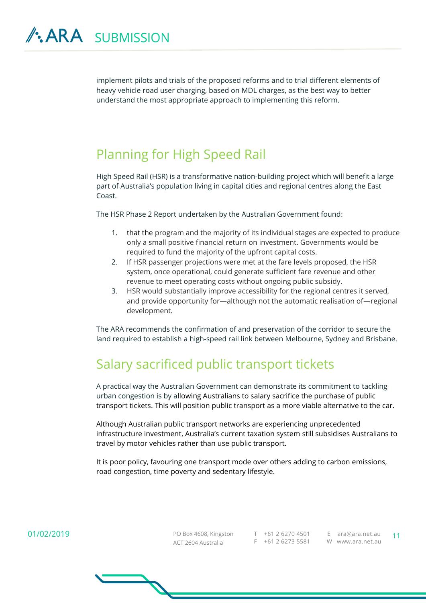implement pilots and trials of the proposed reforms and to trial different elements of heavy vehicle road user charging, based on MDL charges, as the best way to better understand the most appropriate approach to implementing this reform.

#### Planning for High Speed Rail

High Speed Rail (HSR) is a transformative nation-building project which will benefit a large part of Australia's population living in capital cities and regional centres along the East Coast.

The HSR Phase 2 Report undertaken by the Australian Government found:

- 1. that the program and the majority of its individual stages are expected to produce only a small positive financial return on investment. Governments would be required to fund the majority of the upfront capital costs.
- 2. If HSR passenger projections were met at the fare levels proposed, the HSR system, once operational, could generate sufficient fare revenue and other revenue to meet operating costs without ongoing public subsidy.
- 3. HSR would substantially improve accessibility for the regional centres it served, and provide opportunity for—although not the automatic realisation of—regional development.

The ARA recommends the confirmation of and preservation of the corridor to secure the land required to establish a high-speed rail link between Melbourne, Sydney and Brisbane.

#### Salary sacrificed public transport tickets

A practical way the Australian Government can demonstrate its commitment to tackling urban congestion is by allowing Australians to salary sacrifice the purchase of public transport tickets. This will position public transport as a more viable alternative to the car.

Although Australian public transport networks are experiencing unprecedented infrastructure investment, Australia's current taxation system still subsidises Australians to travel by motor vehicles rather than use public transport.

It is poor policy, favouring one transport mode over others adding to carbon emissions, road congestion, time poverty and sedentary lifestyle.

01/02/2019

PO Box 4608, Kingston T +61 2 6270 4501 E ara@ara.net.au 11 ACT 2604 Australia F +61 2 6273 5581 W www.ara.net.au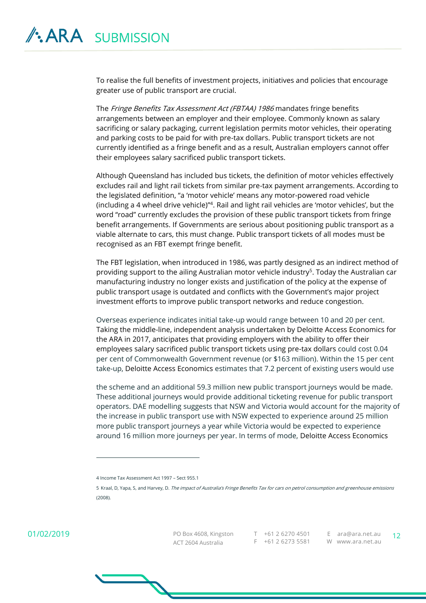To realise the full benefits of investment projects, initiatives and policies that encourage greater use of public transport are crucial.

The Fringe Benefits Tax Assessment Act (FBTAA) 1986 mandates fringe benefits arrangements between an employer and their employee. Commonly known as salary sacrificing or salary packaging, current legislation permits motor vehicles, their operating and parking costs to be paid for with pre-tax dollars. Public transport tickets are not currently identified as a fringe benefit and as a result, Australian employers cannot offer their employees salary sacrificed public transport tickets.

Although Queensland has included bus tickets, the definition of motor vehicles effectively excludes rail and light rail tickets from similar pre-tax payment arrangements. According to the legislated definition, "a 'motor vehicle' means any motor-powered road vehicle (including a 4 wheel drive vehicle)"<sup>4</sup> . Rail and light rail vehicles are 'motor vehicles', but the word "road" currently excludes the provision of these public transport tickets from fringe benefit arrangements. If Governments are serious about positioning public transport as a viable alternate to cars, this must change. Public transport tickets of all modes must be recognised as an FBT exempt fringe benefit.

The FBT legislation, when introduced in 1986, was partly designed as an indirect method of providing support to the ailing Australian motor vehicle industry<sup>5</sup>. Today the Australian car manufacturing industry no longer exists and justification of the policy at the expense of public transport usage is outdated and conflicts with the Government's major project investment efforts to improve public transport networks and reduce congestion.

Overseas experience indicates initial take-up would range between 10 and 20 per cent. Taking the middle-line, independent analysis undertaken by Deloitte Access Economics for the ARA in 2017, anticipates that providing employers with the ability to offer their employees salary sacrificed public transport tickets using pre-tax dollars could cost 0.04 per cent of Commonwealth Government revenue (or \$163 million). Within the 15 per cent take-up, Deloitte Access Economics estimates that 7.2 percent of existing users would use

the scheme and an additional 59.3 million new public transport journeys would be made. These additional journeys would provide additional ticketing revenue for public transport operators. DAE modelling suggests that NSW and Victoria would account for the majority of the increase in public transport use with NSW expected to experience around 25 million more public transport journeys a year while Victoria would be expected to experience around 16 million more journeys per year. In terms of mode, Deloitte Access Economics

 $\overline{a}$ 

01/02/2019

PO Box 4608, Kingston T +61 2 6270 4501 E ara@ara.net.au 12 ACT 2604 Australia

F +61 2 6273 5581 W www.ara.net.au E ara@ara.net.au

<sup>4</sup> Income Tax Assessment Act 1997 – Sect 955.1

<sup>5</sup> Kraal, D, Yapa, S, and Harvey, D. The impact of Australia's Fringe Benefits Tax for cars on petrol consumption and greenhouse emissions (2008).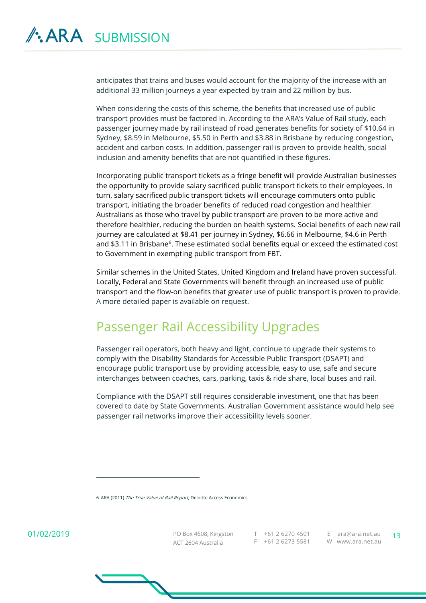anticipates that trains and buses would account for the majority of the increase with an additional 33 million journeys a year expected by train and 22 million by bus.

When considering the costs of this scheme, the benefits that increased use of public transport provides must be factored in. According to the ARA's Value of Rail study, each passenger journey made by rail instead of road generates benefits for society of \$10.64 in Sydney, \$8.59 in Melbourne, \$5.50 in Perth and \$3.88 in Brisbane by reducing congestion, accident and carbon costs. In addition, passenger rail is proven to provide health, social inclusion and amenity benefits that are not quantified in these figures.

Incorporating public transport tickets as a fringe benefit will provide Australian businesses the opportunity to provide salary sacrificed public transport tickets to their employees. In turn, salary sacrificed public transport tickets will encourage commuters onto public transport, initiating the broader benefits of reduced road congestion and healthier Australians as those who travel by public transport are proven to be more active and therefore healthier, reducing the burden on health systems. Social benefits of each new rail journey are calculated at \$8.41 per journey in Sydney, \$6.66 in Melbourne, \$4.6 in Perth and \$3.11 in Brisbane<sup>6</sup>. These estimated social benefits equal or exceed the estimated cost to Government in exempting public transport from FBT.

Similar schemes in the United States, United Kingdom and Ireland have proven successful. Locally, Federal and State Governments will benefit through an increased use of public transport and the flow-on benefits that greater use of public transport is proven to provide. A more detailed paper is available on request.

#### Passenger Rail Accessibility Upgrades

Passenger rail operators, both heavy and light, continue to upgrade their systems to comply with the Disability Standards for Accessible Public Transport (DSAPT) and encourage public transport use by providing accessible, easy to use, safe and secure interchanges between coaches, cars, parking, taxis & ride share, local buses and rail.

Compliance with the DSAPT still requires considerable investment, one that has been covered to date by State Governments. Australian Government assistance would help see passenger rail networks improve their accessibility levels sooner.

6 ARA (2011) The True Value of Rail Report, Deloitte Access Economics

01/02/2019

 $\overline{a}$ 

PO Box 4608, Kingston T +61 2 6270 4501 E ara@ara.net.au 13 ACT 2604 Australia F +61 2 6273 5581 W www.ara.net.au